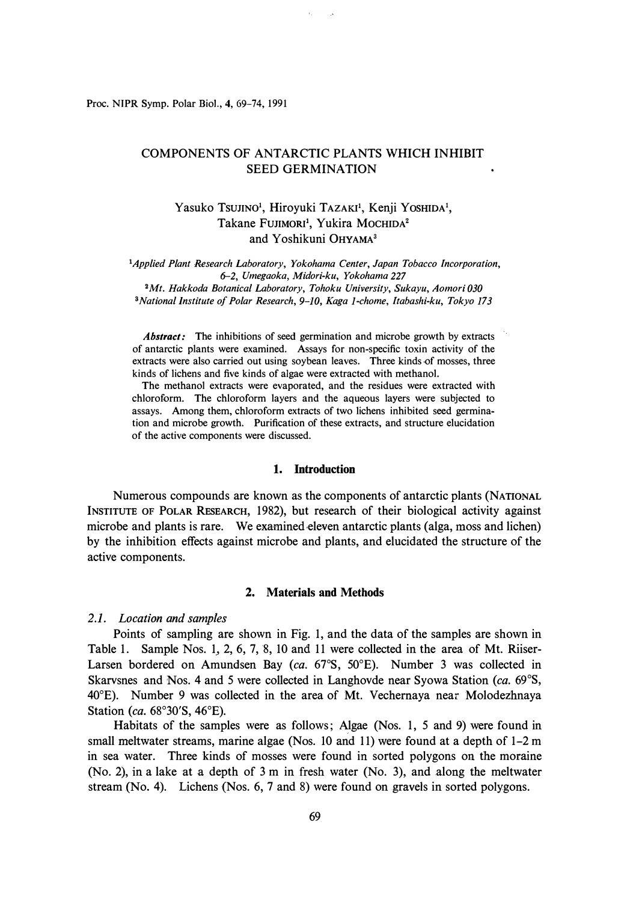Proc. **NIPR** Symp. Polar Biol., **4,** 69-74, 1991

## COMPONENTS OF ANTARCTIC PLANTS WHICH INHIBIT SEED GERMINATION

# Yasuko Tsujino<sup>1</sup>, Hiroyuki TAZAKI<sup>1</sup>, Kenji Yoshida<sup>1</sup>, Takane FUJIMORI<sup>1</sup>, Yukira MOCHIDA<sup>2</sup> and Yoshikuni 0HYAMA**<sup>3</sup>**

<sup>1</sup>*Applied Plant Research Laboratory, Yokohama Center, Japan Tobacco Incorporation, 6-2, Umegaoka, Midori-ku, Yokohama 227 <sup>2</sup>Mt. Hakkoda Botanical Laboratory, Tohoku University, Sukayu, Aomori 030 <sup>3</sup>National Institute of Polar Research, 9-10, Kaga 1-chome, Itabashi-ku, Tokyo 173* 

*Abstract:* The inhibitions of seed germination and microbe growth by extracts of antarctic plants were examined. Assays for non-specific toxin activity of the extracts were also carried out using soybean leaves. Three kinds of mosses, three kinds of lichens and five kinds of algae were extracted with methanol.

The methanol extracts were evaporated, and the residues were extracted with chloroform. The chloroform layers and the aqueous layers were subjected to assays. Among them, chloroform extracts of two lichens inhibited seed germination and microbe growth. Purification of these extracts, and structure elucidation of the active components were discussed.

### **1. Introduction**

Numerous compounds are known as the components of antarctic plants (NATIONAL INSTITUTE OF POLAR RESEARCH, 1982), but research of their biological activity against microbe and plants is rare. We examined eleven antarctic plants (alga, moss and lichen) by the inhibition effects against microbe and plants, and elucidated the structure of the active components.

#### **2. Materials and Methods**

#### *2.1. Location and samples*

Points of sampling are shown in Fig. 1, and the data of the samples are shown in Table 1. Sample Nos. 1, 2, 6, 7, 8, 10 and 11 were collected in the area of Mt. Riiser-Larsen bordered on Amundsen Bay (ca. 67°S, 50°E). Number 3 was collected in Skarvsnes and Nos. 4 and 5 were collected in Langhovde near Syowa Station *(ca.* 69° S, 40°E). Number 9 was collected in the area of Mt. Vechemaya near Molodezhnaya Station *(ca.* 68°30'S, 46°E).

Habitats of the samples were as follows; Algae (Nos. 1, 5 and 9) were found in small meltwater streams, marine algae (Nos. 10 and 11) were found at a depth of  $1-2$  m in sea water. Three kinds of mosses were found in sorted polygons on the moraine (No. 2), in a lake at a depth of  $3 \text{ m}$  in fresh water (No. 3), and along the meltwater stream (No. 4). Lichens (Nos. 6, 7 and 8) were found on gravels in sorted polygons.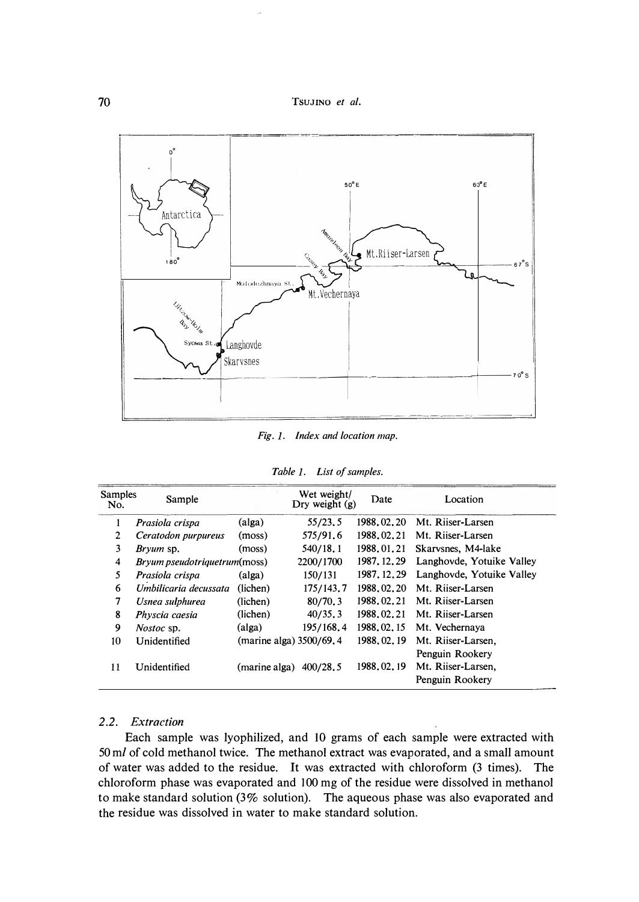70 **TsUJINO** *et al.* 



*Fig. J. Index and location map.* 

| Table 1. |  | List of samples. |
|----------|--|------------------|
|----------|--|------------------|

| <b>Samples</b><br>No. | Sample                               |                         | Wet weight/<br>Dry weight (g) | Date         | Location                                                 |
|-----------------------|--------------------------------------|-------------------------|-------------------------------|--------------|----------------------------------------------------------|
| 1                     | Prasiola crispa                      | (alga)                  | 55/23.5                       | 1988.02.20   | Mt. Riiser-Larsen                                        |
| 2                     | Ceratodon purpureus                  | (moss)                  | 575/91.6                      | 1988.02.21   | Mt. Riiser-Larsen                                        |
| 3                     | <i>Bryum</i> sp.                     | (moss)                  | 540/18.1                      | 1988.01.21   | Skarvsnes, M4-lake                                       |
| 4                     | <i>Bryum pseudotriquetrum</i> (moss) |                         | 2200/1700                     | 1987.12.29   | Langhovde, Yotuike Valley                                |
| 5                     | Prasiola crispa                      | (alga)                  | 150/131                       | 1987, 12, 29 | Langhovde, Yotuike Valley                                |
| 6                     | Umbilicaria decussata                | (lichen)                | 175/143.7                     | 1988.02.20   | Mt. Riiser-Larsen                                        |
| 7                     | Usnea sulphurea                      | (lichen)                | 80/70.3                       | 1988.02.21   | Mt. Riiser-Larsen                                        |
| 8                     | Physcia caesia                       | (lichen)                | 40/35.3                       | 1988.02.21   | Mt. Riiser-Larsen                                        |
| 9                     | <i>Nostoc</i> sp.                    | (alga)                  | 195/168.4                     | 1988.02.15   | Mt. Vechernaya                                           |
| 10                    | Unidentified                         | (marine alga) 3500/69.4 |                               | 1988.02.19   | Mt. Riiser-Larsen,                                       |
| 11                    | Unidentified                         | (marine alga)           | 400/28, 5                     | 1988.02.19   | Penguin Rookery<br>Mt. Riiser-Larsen,<br>Penguin Rookery |

## *2 .2. Extraction*

**Each sample was lyophilized, and IO grams of each sample were extracted with 50** *ml* **of cold methanol twice. The methanol extract was evaporated, and a small amount of water was added to the residue. It was extracted with chloroform (3 times). The chloroform phase was evaporated and 100 mg of the residue were dissolved in methanol to make standard solution (3% solution). The aqueous phase was also evaporated and the residue was dissolved in water to make standard solution.**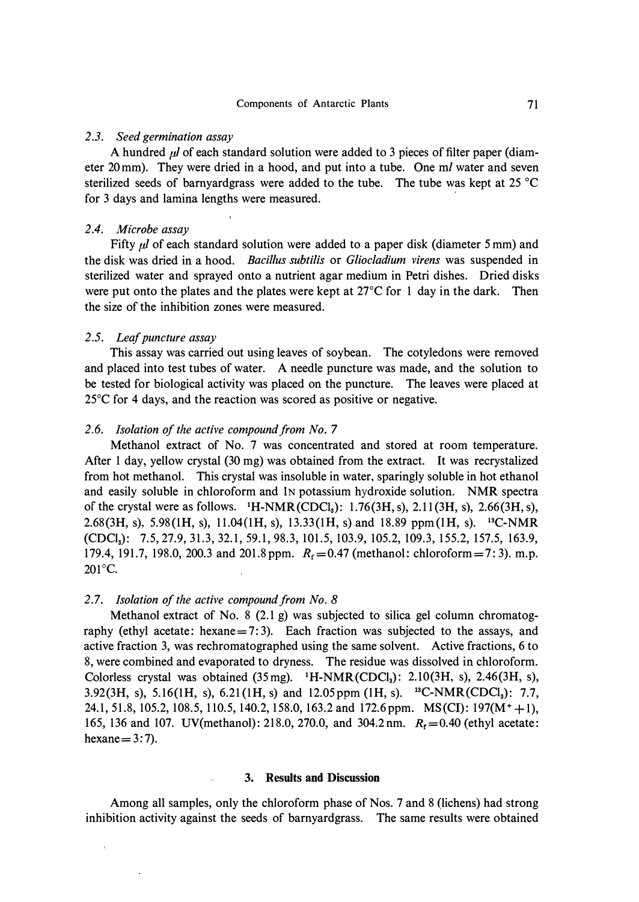### *2 .3. Seed germination assay*

A hundred *µI* of each standard solution were added to 3 pieces of filter paper (diameter 20mm). They were dried in a hood, and put into a tube. One *ml* water and seven sterilized seeds of bamyardgrass were added to the tube. The tube was kept at 25 °C for 3 days and lamina lengths were measured.

### *2.4. Microbe assay*

Fifty *µl* of each standard solution were added to a paper disk (diameter *5* mm) and the disk was dried in a hood. *Bacillus subtilis* or *Gliocladium virens* was suspended in sterilized water and sprayed onto a nutrient agar medium in Petri dishes. Dried disks were put onto the plates and the plates were kept at 27° C for 1 day in the dark. Then the size of the inhibition zones were measured.

## *2* .5. *Leaf puncture assay*

This assay was carried out using leaves of soybean. The cotyledons were removed and placed into test tubes of water. A needle puncture was made, and the solution to be tested for biological activity was placed on the puncture. The leaves were placed at 25°C for 4 days, and the reaction was scored as positive or negative.

#### *2.6. Isolation of the active compound from No.* **7**

Methanol extract of No. 7 was concentrated and stored at room temperature. After 1 day, yellow crystal (30 mg) was obtained from the extract. It was recrystalized from hot methanol. This crystal was insoluble in water, sparingly soluble in hot ethanol and easily soluble in chloroform and IN potassium hydroxide solution. NMR spectra of the crystal were as follows. **1**H-NMR(CDC1**3):** 1.76(3H, s), 2.11 (3H, s), 2.66(3H, s), 2.68(3H, s), 5.98(1H, s), 11.04(1H, s), 13.33(1H, s) and 18.89 ppm(lH, s). **13C-NMR**  (CDC1**3):** 7.5, 27.9, 31.3, 32.1, 59.1, 98.3, 101.5, 103.9, 105.2, 109.3, 155.2, 157.5, 163.9, 179.4, 191.7, 198.0, 200.3 and 201.8 ppm.  $R_f = 0.47$  (methanol: chloroform = 7: 3). m.p. 201°c.

### *2* .7. *Isolation of the active compound from No. 8*

Methanol extract of No. 8 (2.1 g) was subjected to silica gel column chromatography (ethyl acetate: hexane =  $7:3$ ). Each fraction was subjected to the assays, and active fraction 3, was rechromatographed using the same solvent. Active fractions, 6 to 8, were combined and evaporated to dryness. The residue was dissolved in chloroform. Colorless crystal was obtained (35mg). **1**H-NMR(CDC1**3):** 2.I0(3H, s), 2.46(3H, s), 3.92(3H, s), 5.16(1H, s), 6.21(1H, s) and 12.05 ppm (lH, s). **1<sup>3</sup>**C-NMR(CDC1**3):** 7.7, 24.1, 51.8, 105.2, 108.5, 110.5, 140.2, 158.0, 163.2 and 172.6 ppm. MS(CI): 197(M<sup>+</sup>**+** 1), 165, 136 and 107. UV(methanol): 218.0, 270.0, and 304.2 nm.  $R_f = 0.40$  (ethyl acetate: hexane  $= 3: 7$ ).

## **3. Results and Discussion**

Among all samples, only the chloroform phase of Nos. 7 and 8 (lichens) had strong inhibition activity against the seeds of bamyardgrass. The same results were obtained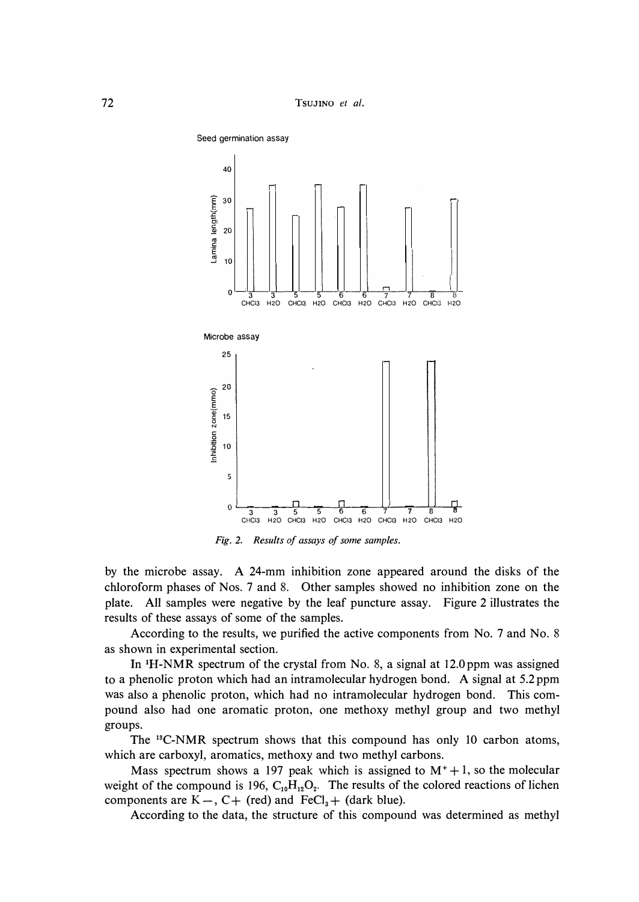

*Fig. 2. Results of assays of some samples.* 

**by the microbe assay. A 24-mm inhibition zone appeared around the disks of the chloroform phases of Nos. 7 and 8. Other samples showed no inhibition zone on the plate. All samples were negative by the leaf puncture assay. Figure 2 illustrates the results of these assays of some of the samples.** 

**According to the results, we purified the active components from No. 7 and No. 8 as shown in experimental section.** 

**In 1H-NMR spectrum of the crystal from No. 8, a signal at 12.0ppm was assigned to a phenolic proton which had an intramolecular hydrogen bond. A signal at 5. 2 ppm was also a phenolic proton, which had no intramolecular hydrogen bond. This compound also had one aromatic proton, one methoxy methyl group and two methyl groups.** 

**The <sup>1</sup>3C-NMR spectrum shows that this compound has only 10 carbon atoms, which are carboxyl, aromatics, methoxy and two methyl carbons.** 

**Mass spectrum shows a 197 peak which is assigned to**  $M^+ + 1$ **, so the molecular weight of the compound is 196, C10H120<sup>2</sup> . The results of the colored reactions of lichen**  components are  $K -$ ,  $C +$  **(red)** and  $\text{FeCl}_3 +$  **(dark blue).** 

**According to the data, the structure of this compound was determined as methyl**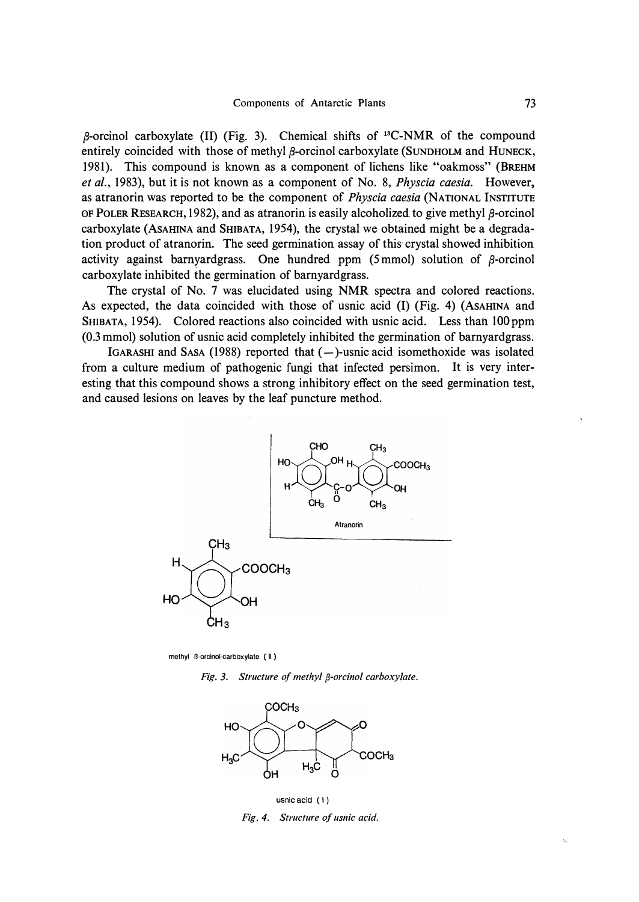fi-orcinol carboxylate (II) (Fig. 3). Chemical shifts of **13**C-NMR of the compound entirely coincided with those of methyl  $\beta$ -orcinol carboxylate (SUNDHOLM and HUNECK, 1981). This compound is known as a component of lichens like "oakmoss" (BREHM *et al.,* 1983), but it is not known as a component of No. 8, *Physcia caesia.* However, as atranorin was reported to be. the component of *Physcia caesia* (NATIONAL INSTITUTE OF POLER RESEARCH, 1982), and as atranorin is easily alcoholized to give methyl  $\beta$ -orcinol carboxylate (AsAmNA and SHIBATA, 1954), the crystal we obtained might be a degradation product of atranorin. The seed germination assay of this· crystal showed inhibition activity against barnyardgrass. One hundred ppm (5mmol) solution of  $\beta$ -orcinol carboxylate inhibited the germination of barnyardgrass.

The crystal of No. 7 was elucidated using NMR spectra and colored reactions. As expected, the data coincided with those of usnic acid (I) (Fig. 4) (AsAHINA and SHIBATA, 1954). Colored reactions also coincided with usnic acid. Less thah lOOppm (0.3 mmol) solution of usnic acid completely inhibited the germination of barnyardgrass.

IGARASHI and SASA (1988) reported that  $(-)$ -usnic acid isomethoxide was isolated from a culture medium of pathogenic fungi that infected persimon. It is very interesting that this compound shows a strong inhibitory effect on the seed germination test, and caused lesions on leaves by the leaf puncture method.



**methyl B-orcinol-carboxylate ( II )** 

*Fig. 3. Structure of methyl {3-orcinol carboxy/ate.* 



usnic acid ( I ) *Fig. 4. Structure of usnic acid.*